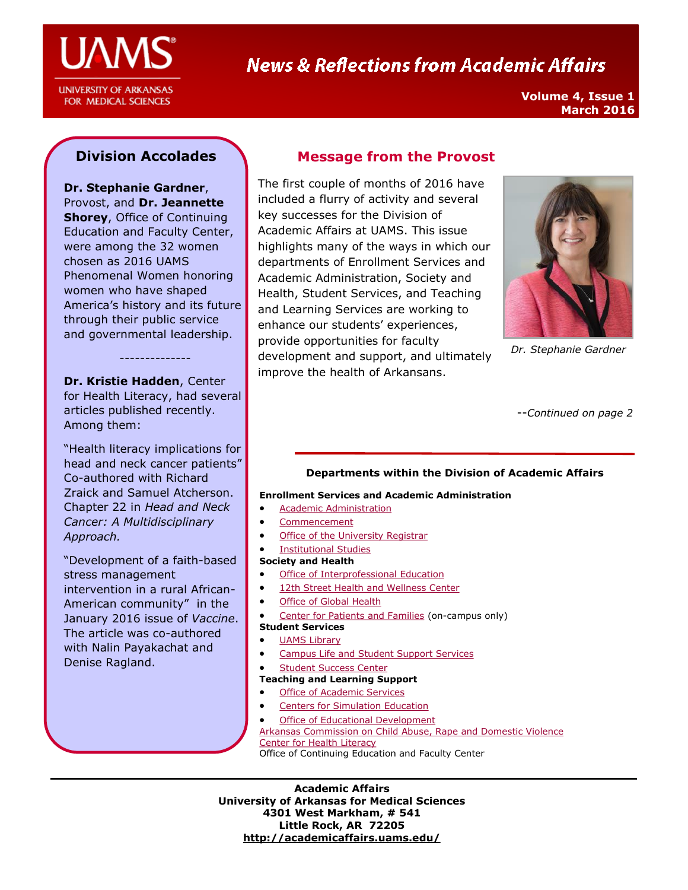

# **News & Reflections from Academic Affairs**

**Volume 4, Issue 1 March 2016**

# **Division Accolades**

**Dr. Stephanie Gardner**, Provost, and **Dr. Jeannette Shorey**, Office of Continuing Education and Faculty Center, were among the 32 women chosen as 2016 UAMS Phenomenal Women honoring women who have shaped America's history and its future through their public service and governmental leadership.

**Dr. Kristie Hadden**, Center for Health Literacy, had several articles published recently. Among them:

--------------

"Health literacy implications for head and neck cancer patients" Co-authored with Richard Zraick and Samuel Atcherson. Chapter 22 in *Head and Neck Cancer: A Multidisciplinary Approach.*

"Development of a faith-based stress management intervention in a rural African-American community" in the January 2016 issue of *Vaccine*. The article was co-authored with Nalin Payakachat and Denise Ragland.

# **Message from the Provost**

The first couple of months of 2016 have included a flurry of activity and several key successes for the Division of Academic Affairs at UAMS. This issue highlights many of the ways in which our departments of Enrollment Services and Academic Administration, Society and Health, Student Services, and Teaching and Learning Services are working to enhance our students' experiences, provide opportunities for faculty development and support, and ultimately improve the health of Arkansans.



*Dr. Stephanie Gardner*

--*Continued on page 2*

#### **Departments within the Division of Academic Affairs**

#### **Enrollment Services and Academic Administration**

- **•** Academic Administration
- [Commencement](http://commencement.uams.edu/)
- **[Office of the University Registrar](http://registrar.uams.edu)**
- [Institutional Studies](http://academicaffairs.uams.edu/academic-support-and-services/institutional-studies/office-of-institutional-studies/)

#### **Society and Health**

- [Office of Interprofessional Education](http://ipe.uams.edu/)
- [12th Street Health and Wellness Center](http://healthon12th.uams.edu/)
- [Office of Global Health](http://ogh.uams.edu/)
- [Center for Patients and Families](http://inside.uams.edu/pfcc/) (on-campus only)
- **Student Services**
- [UAMS Library](http://library.uams.edu/)
- [Campus Life and Student Support Services](http://studentlife.uams.edu/)
- [Student Success Center](http://library.uams.edu/library-info/aassc/)

#### **Teaching and Learning Support**

- [Office of Academic Services](http://oas.uams.edu/)
- [Centers for Simulation Education](http://medicalsim.uams.edu/)
- [Office of Educational Development](http://www.uams.edu/oed/)
- [Arkansas Commission on Child Abuse, Rape and Domestic Violence](http://accardv.uams.edu/)

[Center for Health Literacy](http://healthliteracy.uams.edu/)

Office of Continuing Education and Faculty Center

**Academic Affairs University of Arkansas for Medical Sciences 4301 West Markham, # 541 Little Rock, AR 72205 <http://academicaffairs.uams.edu/>**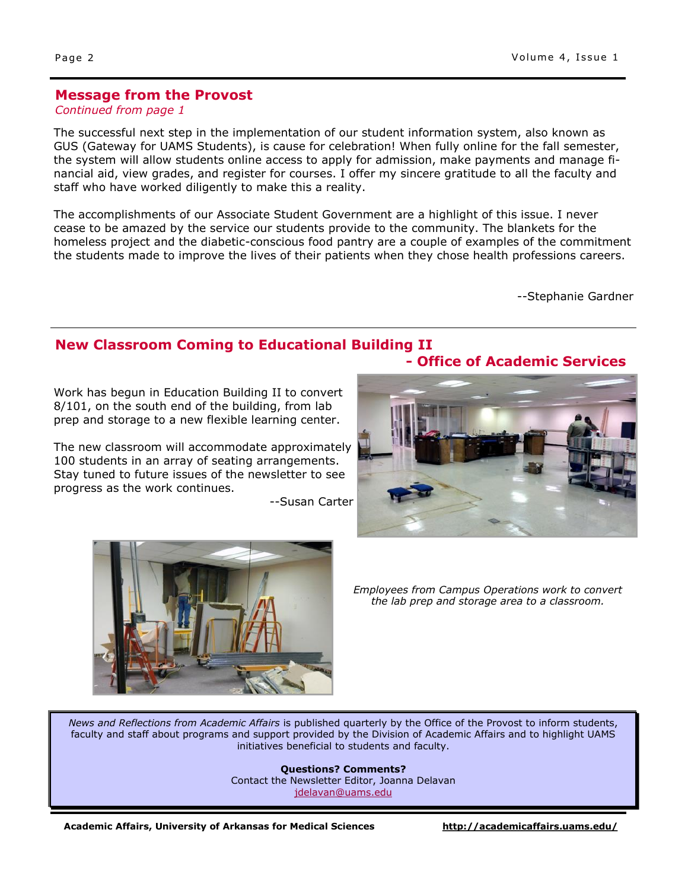#### **Message from the Provost**

#### *Continued from page 1*

The successful next step in the implementation of our student information system, also known as GUS (Gateway for UAMS Students), is cause for celebration! When fully online for the fall semester, the system will allow students online access to apply for admission, make payments and manage financial aid, view grades, and register for courses. I offer my sincere gratitude to all the faculty and staff who have worked diligently to make this a reality.

The accomplishments of our Associate Student Government are a highlight of this issue. I never cease to be amazed by the service our students provide to the community. The blankets for the homeless project and the diabetic-conscious food pantry are a couple of examples of the commitment the students made to improve the lives of their patients when they chose health professions careers.

--Stephanie Gardner

# **New Classroom Coming to Educational Building II**

Work has begun in Education Building II to convert 8/101, on the south end of the building, from lab prep and storage to a new flexible learning center.

The new classroom will accommodate approximately 100 students in an array of seating arrangements. Stay tuned to future issues of the newsletter to see progress as the work continues.

--Susan Carter



*Employees from Campus Operations work to convert the lab prep and storage area to a classroom.*

*News and Reflections from Academic Affairs* is published quarterly by the Office of the Provost to inform students, faculty and staff about programs and support provided by the Division of Academic Affairs and to highlight UAMS initiatives beneficial to students and faculty.

> **Questions? Comments?** Contact the Newsletter Editor, Joanna Delavan [jdelavan@uams.edu](mailto:jdelavan@uams.edu)

**- Office of Academic Services**

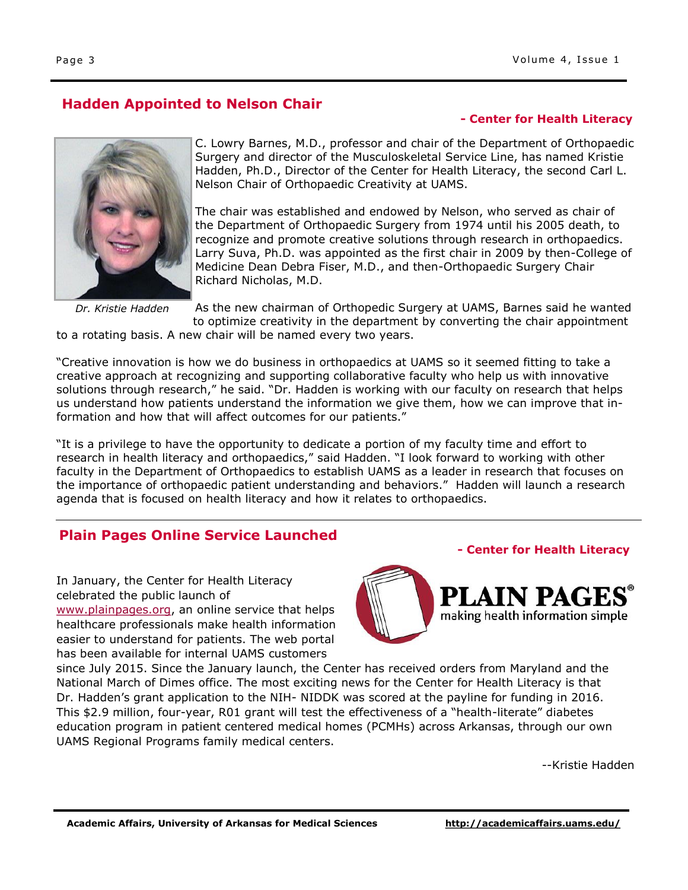# **Hadden Appointed to Nelson Chair**

#### **- Center for Health Literacy**



*Dr. Kristie Hadden*

C. Lowry Barnes, M.D., professor and chair of the Department of Orthopaedic Surgery and director of the Musculoskeletal Service Line, has named Kristie Hadden, Ph.D., Director of the Center for Health Literacy, the second Carl L. Nelson Chair of Orthopaedic Creativity at UAMS.

The chair was established and endowed by Nelson, who served as chair of the Department of Orthopaedic Surgery from 1974 until his 2005 death, to recognize and promote creative solutions through research in orthopaedics. Larry Suva, Ph.D. was appointed as the first chair in 2009 by then-College of Medicine Dean Debra Fiser, M.D., and then-Orthopaedic Surgery Chair Richard Nicholas, M.D.

As the new chairman of Orthopedic Surgery at UAMS, Barnes said he wanted to optimize creativity in the department by converting the chair appointment

to a rotating basis. A new chair will be named every two years.

"Creative innovation is how we do business in orthopaedics at UAMS so it seemed fitting to take a creative approach at recognizing and supporting collaborative faculty who help us with innovative solutions through research," he said. "Dr. Hadden is working with our faculty on research that helps us understand how patients understand the information we give them, how we can improve that information and how that will affect outcomes for our patients."

"It is a privilege to have the opportunity to dedicate a portion of my faculty time and effort to research in health literacy and orthopaedics," said Hadden. "I look forward to working with other faculty in the Department of Orthopaedics to establish UAMS as a leader in research that focuses on the importance of orthopaedic patient understanding and behaviors." Hadden will launch a research agenda that is focused on health literacy and how it relates to orthopaedics.

# **Plain Pages Online Service Launched**

In January, the Center for Health Literacy celebrated the public launch of

[www.plainpages.org,](http://www.plainpages.org) an online service that helps healthcare professionals make health information easier to understand for patients. The web portal has been available for internal UAMS customers



**- Center for Health Literacy**

since July 2015. Since the January launch, the Center has received orders from Maryland and the National March of Dimes office. The most exciting news for the Center for Health Literacy is that Dr. Hadden's grant application to the NIH- NIDDK was scored at the payline for funding in 2016. This \$2.9 million, four-year, R01 grant will test the effectiveness of a "health-literate" diabetes education program in patient centered medical homes (PCMHs) across Arkansas, through our own UAMS Regional Programs family medical centers.

--Kristie Hadden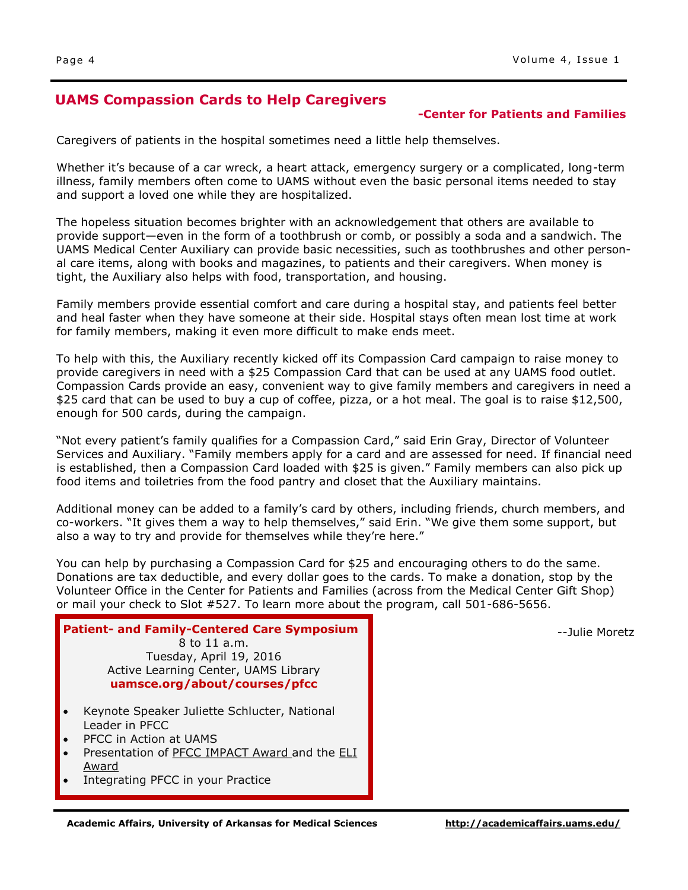# **UAMS Compassion Cards to Help Caregivers**

#### **-Center for Patients and Families**

Caregivers of patients in the hospital sometimes need a little help themselves.

Whether it's because of a car wreck, a heart attack, emergency surgery or a complicated, long-term illness, family members often come to UAMS without even the basic personal items needed to stay and support a loved one while they are hospitalized.

The hopeless situation becomes brighter with an acknowledgement that others are available to provide support—even in the form of a toothbrush or comb, or possibly a soda and a sandwich. The UAMS Medical Center Auxiliary can provide basic necessities, such as toothbrushes and other personal care items, along with books and magazines, to patients and their caregivers. When money is tight, the Auxiliary also helps with food, transportation, and housing.

Family members provide essential comfort and care during a hospital stay, and patients feel better and heal faster when they have someone at their side. Hospital stays often mean lost time at work for family members, making it even more difficult to make ends meet.

To help with this, the Auxiliary recently kicked off its Compassion Card campaign to raise money to provide caregivers in need with a \$25 Compassion Card that can be used at any UAMS food outlet. Compassion Cards provide an easy, convenient way to give family members and caregivers in need a \$25 card that can be used to buy a cup of coffee, pizza, or a hot meal. The goal is to raise \$12,500, enough for 500 cards, during the campaign.

"Not every patient's family qualifies for a Compassion Card," said Erin Gray, Director of Volunteer Services and Auxiliary. "Family members apply for a card and are assessed for need. If financial need is established, then a Compassion Card loaded with \$25 is given." Family members can also pick up food items and toiletries from the food pantry and closet that the Auxiliary maintains.

Additional money can be added to a family's card by others, including friends, church members, and co-workers. "It gives them a way to help themselves," said Erin. "We give them some support, but also a way to try and provide for themselves while they're here."

You can help by purchasing a Compassion Card for \$25 and encouraging others to do the same. Donations are tax deductible, and every dollar goes to the cards. To make a donation, stop by the Volunteer Office in the Center for Patients and Families (across from the Medical Center Gift Shop) or mail your check to Slot #527. To learn more about the program, call 501-686-5656.

--Julie Moretz

| <b>Patient- and Family-Centered Care Symposium</b>                                                                                                 |  |
|----------------------------------------------------------------------------------------------------------------------------------------------------|--|
| 8 to 11 a.m.                                                                                                                                       |  |
| Tuesday, April 19, 2016                                                                                                                            |  |
| Active Learning Center, UAMS Library                                                                                                               |  |
| uamsce.org/about/courses/pfcc                                                                                                                      |  |
| Keynote Speaker Juliette Schlucter, National<br>Leader in PFCC<br>PFCC in Action at UAMS<br>Presentation of PFCC IMPACT Award and the ELI<br>Award |  |
| Integrating PFCC in your Practice                                                                                                                  |  |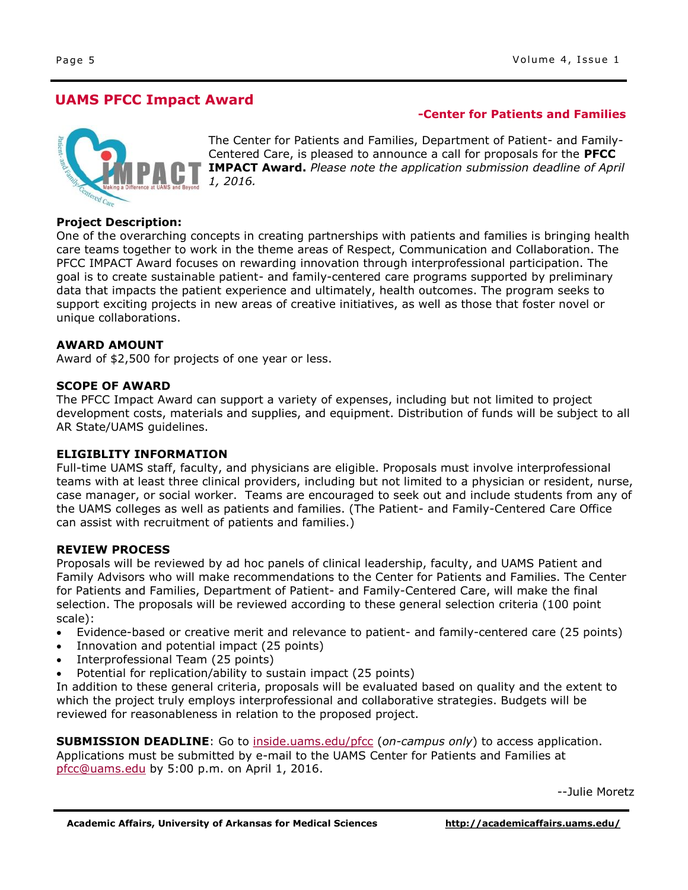**-Center for Patients and Families**

# **UAMS PFCC Impact Award**



The Center for Patients and Families, Department of Patient- and Family-Centered Care, is pleased to announce a call for proposals for the **PFCC IMPACT Award.** *Please note the application submission deadline of April 1, 2016.*

#### **Project Description:**

One of the overarching concepts in creating partnerships with patients and families is bringing health care teams together to work in the theme areas of Respect, Communication and Collaboration. The PFCC IMPACT Award focuses on rewarding innovation through interprofessional participation. The goal is to create sustainable patient- and family-centered care programs supported by preliminary data that impacts the patient experience and ultimately, health outcomes. The program seeks to support exciting projects in new areas of creative initiatives, as well as those that foster novel or unique collaborations.

#### **AWARD AMOUNT**

Award of \$2,500 for projects of one year or less.

#### **SCOPE OF AWARD**

The PFCC Impact Award can support a variety of expenses, including but not limited to project development costs, materials and supplies, and equipment. Distribution of funds will be subject to all AR State/UAMS guidelines.

#### **ELIGIBLITY INFORMATION**

Full-time UAMS staff, faculty, and physicians are eligible. Proposals must involve interprofessional teams with at least three clinical providers, including but not limited to a physician or resident, nurse, case manager, or social worker. Teams are encouraged to seek out and include students from any of the UAMS colleges as well as patients and families. (The Patient- and Family-Centered Care Office can assist with recruitment of patients and families.)

#### **REVIEW PROCESS**

Proposals will be reviewed by ad hoc panels of clinical leadership, faculty, and UAMS Patient and Family Advisors who will make recommendations to the Center for Patients and Families. The Center for Patients and Families, Department of Patient- and Family-Centered Care, will make the final selection. The proposals will be reviewed according to these general selection criteria (100 point scale):

- Evidence-based or creative merit and relevance to patient- and family-centered care (25 points)
- Innovation and potential impact (25 points)
- Interprofessional Team (25 points)
- Potential for replication/ability to sustain impact (25 points)

In addition to these general criteria, proposals will be evaluated based on quality and the extent to which the project truly employs interprofessional and collaborative strategies. Budgets will be reviewed for reasonableness in relation to the proposed project.

**SUBMISSION DEADLINE**: Go to [inside.uams.edu/pfcc](http://inside.uams.edu/pfcc/) (*on-campus only*) to access application. Applications must be submitted by e-mail to the UAMS Center for Patients and Families at [pfcc@uams.edu](http://pfcc@uams.edu) by 5:00 p.m. on April 1, 2016.

--Julie Moretz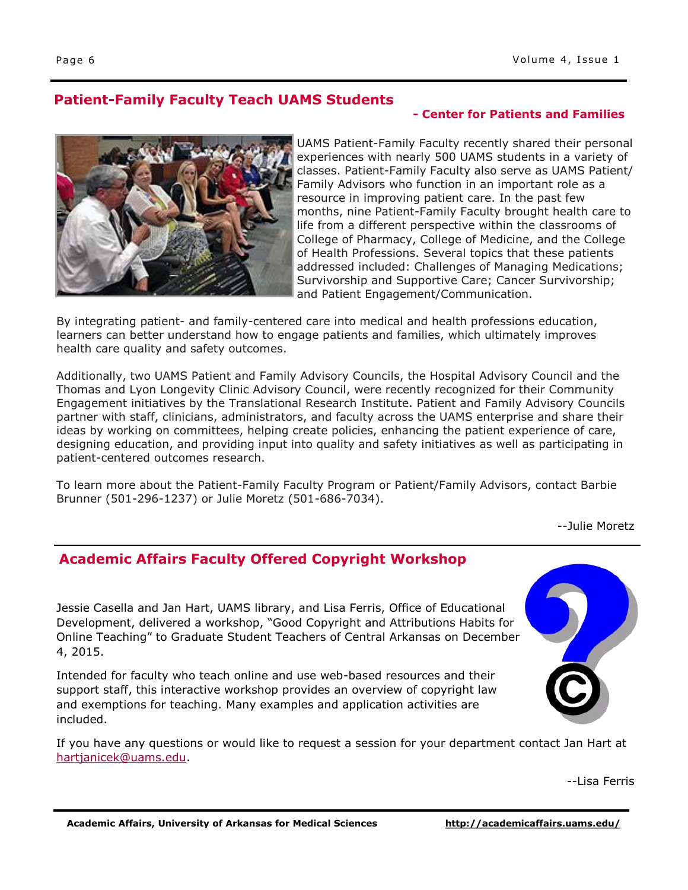# **Patient-Family Faculty Teach UAMS Students**

# **- Center for Patients and Families**



UAMS Patient-Family Faculty recently shared their personal experiences with nearly 500 UAMS students in a variety of classes. Patient-Family Faculty also serve as UAMS Patient/ Family Advisors who function in an important role as a resource in improving patient care. In the past few months, nine Patient-Family Faculty brought health care to life from a different perspective within the classrooms of College of Pharmacy, College of Medicine, and the College of Health Professions. Several topics that these patients addressed included: Challenges of Managing Medications; Survivorship and Supportive Care; Cancer Survivorship; and Patient Engagement/Communication.

By integrating patient- and family-centered care into medical and health professions education, learners can better understand how to engage patients and families, which ultimately improves health care quality and safety outcomes.

Additionally, two UAMS Patient and Family Advisory Councils, the Hospital Advisory Council and the Thomas and Lyon Longevity Clinic Advisory Council, were recently recognized for their Community Engagement initiatives by the Translational Research Institute. Patient and Family Advisory Councils partner with staff, clinicians, administrators, and faculty across the UAMS enterprise and share their ideas by working on committees, helping create policies, enhancing the patient experience of care, designing education, and providing input into quality and safety initiatives as well as participating in patient-centered outcomes research.

To learn more about the Patient-Family Faculty Program or Patient/Family Advisors, contact Barbie Brunner (501-296-1237) or Julie Moretz (501-686-7034).

--Julie Moretz

# **Academic Affairs Faculty Offered Copyright Workshop**

Jessie Casella and Jan Hart, UAMS library, and Lisa Ferris, Office of Educational Development, delivered a workshop, "Good Copyright and Attributions Habits for Online Teaching" to Graduate Student Teachers of Central Arkansas on December 4, 2015.

Intended for faculty who teach online and use web-based resources and their support staff, this interactive workshop provides an overview of copyright law and exemptions for teaching. Many examples and application activities are included.

If you have any questions or would like to request a session for your department contact Jan Hart at [hartjanicek@uams.edu.](mailto:hartjanicek@uams.edu)

--Lisa Ferris

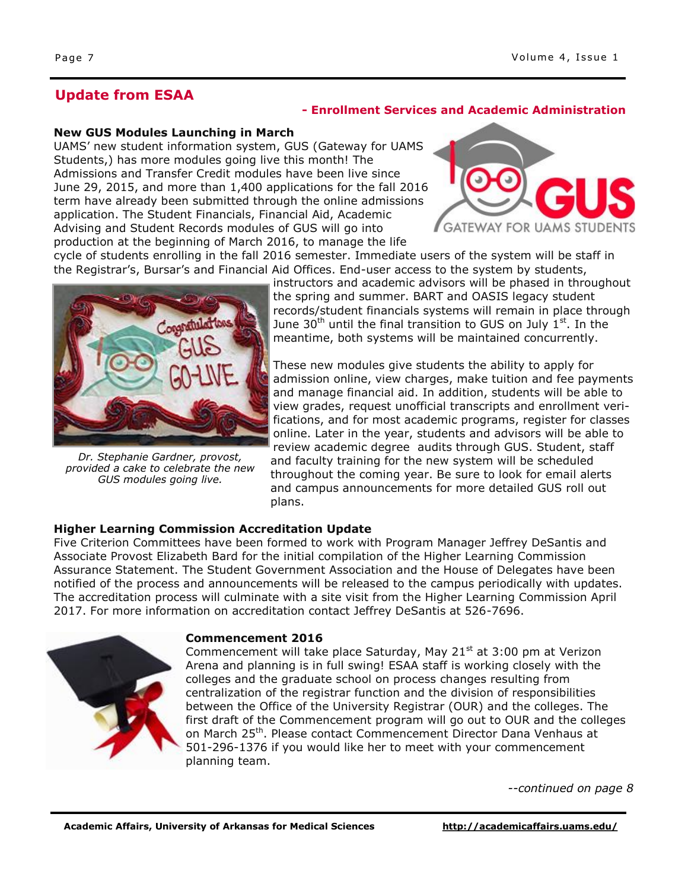# **Update from ESAA**

#### **- Enrollment Services and Academic Administration**

#### **New GUS Modules Launching in March**

UAMS' new student information system, GUS (Gateway for UAMS Students,) has more modules going live this month! The Admissions and Transfer Credit modules have been live since June 29, 2015, and more than 1,400 applications for the fall 2016 term have already been submitted through the online admissions application. The Student Financials, Financial Aid, Academic Advising and Student Records modules of GUS will go into production at the beginning of March 2016, to manage the life



cycle of students enrolling in the fall 2016 semester. Immediate users of the system will be staff in the Registrar's, Bursar's and Financial Aid Offices. End-user access to the system by students,



*Dr. Stephanie Gardner, provost, provided a cake to celebrate the new GUS modules going live.*

instructors and academic advisors will be phased in throughout the spring and summer. BART and OASIS legacy student records/student financials systems will remain in place through June 30<sup>th</sup> until the final transition to GUS on July  $1<sup>st</sup>$ . In the meantime, both systems will be maintained concurrently.

These new modules give students the ability to apply for admission online, view charges, make tuition and fee payments and manage financial aid. In addition, students will be able to view grades, request unofficial transcripts and enrollment verifications, and for most academic programs, register for classes online. Later in the year, students and advisors will be able to review academic degree audits through GUS. Student, staff and faculty training for the new system will be scheduled throughout the coming year. Be sure to look for email alerts and campus announcements for more detailed GUS roll out plans.

## **Higher Learning Commission Accreditation Update**

Five Criterion Committees have been formed to work with Program Manager Jeffrey DeSantis and Associate Provost Elizabeth Bard for the initial compilation of the Higher Learning Commission Assurance Statement. The Student Government Association and the House of Delegates have been notified of the process and announcements will be released to the campus periodically with updates. The accreditation process will culminate with a site visit from the Higher Learning Commission April 2017. For more information on accreditation contact Jeffrey DeSantis at 526-7696.



#### **Commencement 2016**

Commencement will take place Saturday, May 21 $\text{st}$  at 3:00 pm at Verizon Arena and planning is in full swing! ESAA staff is working closely with the colleges and the graduate school on process changes resulting from centralization of the registrar function and the division of responsibilities between the Office of the University Registrar (OUR) and the colleges. The first draft of the Commencement program will go out to OUR and the colleges on March 25<sup>th</sup>. Please contact Commencement Director Dana Venhaus at 501-296-1376 if you would like her to meet with your commencement planning team.

*--continued on page 8*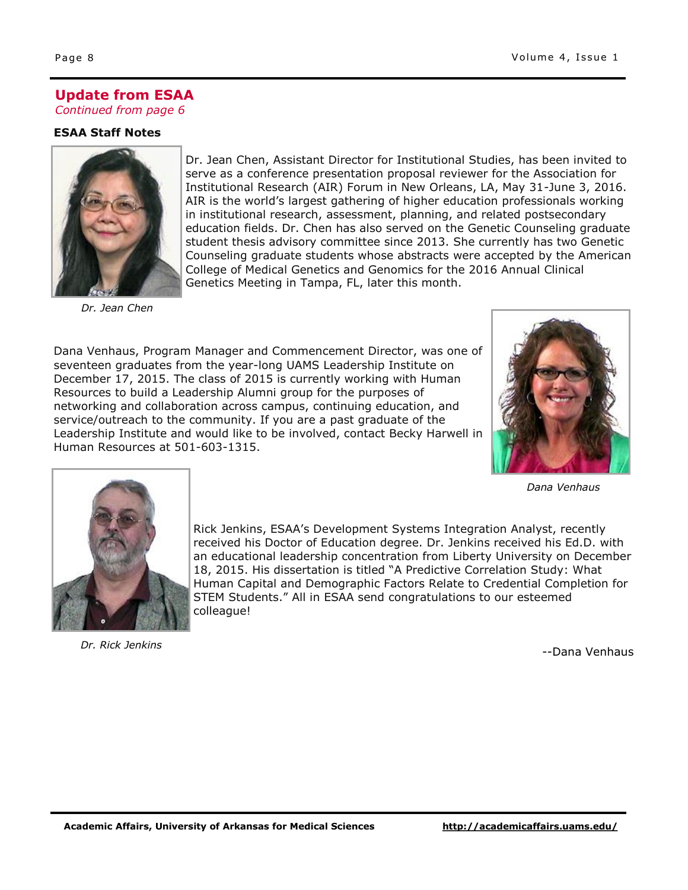# **Update from ESAA**

*Continued from page 6*

## **ESAA Staff Notes**



Dr. Jean Chen, Assistant Director for Institutional Studies, has been invited to serve as a conference presentation proposal reviewer for the Association for Institutional Research (AIR) Forum in New Orleans, LA, May 31-June 3, 2016. AIR is the world's largest gathering of higher education professionals working in institutional research, assessment, planning, and related postsecondary education fields. Dr. Chen has also served on the Genetic Counseling graduate student thesis advisory committee since 2013. She currently has two Genetic Counseling graduate students whose abstracts were accepted by the American College of Medical Genetics and Genomics for the 2016 Annual Clinical Genetics Meeting in Tampa, FL, later this month.

*Dr. Jean Chen*

Dana Venhaus, Program Manager and Commencement Director, was one of seventeen graduates from the year-long UAMS Leadership Institute on December 17, 2015. The class of 2015 is currently working with Human Resources to build a Leadership Alumni group for the purposes of networking and collaboration across campus, continuing education, and service/outreach to the community. If you are a past graduate of the Leadership Institute and would like to be involved, contact Becky Harwell in Human Resources at 501-603-1315.



*Dana Venhaus*



*Dr. Rick Jenkins*

Rick Jenkins, ESAA's Development Systems Integration Analyst, recently received his Doctor of Education degree. Dr. Jenkins received his Ed.D. with an educational leadership concentration from Liberty University on December 18, 2015. His dissertation is titled "A Predictive Correlation Study: What Human Capital and Demographic Factors Relate to Credential Completion for STEM Students." All in ESAA send congratulations to our esteemed colleague!

--Dana Venhaus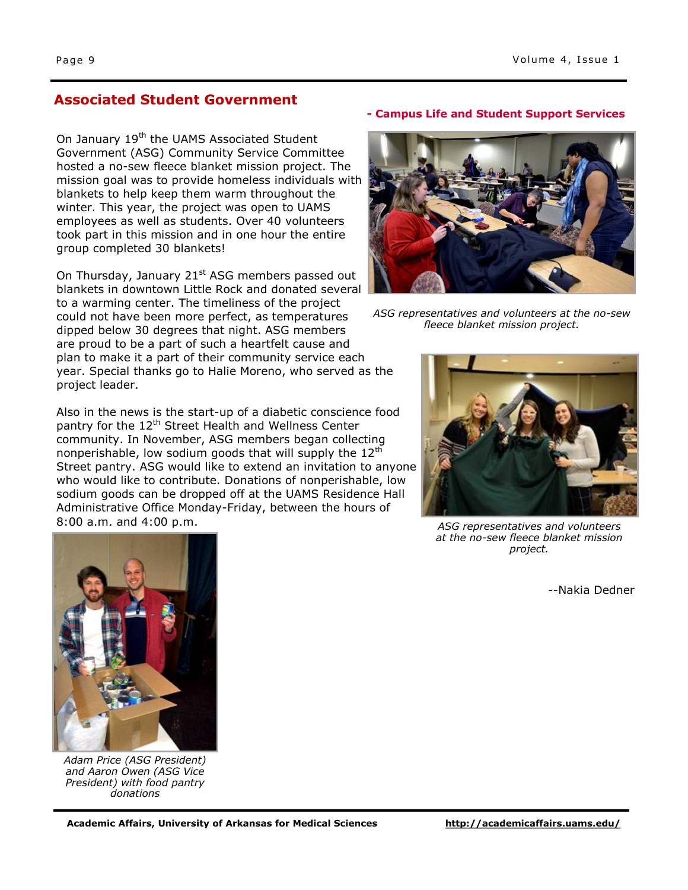# **Associated Student Government**

On January 19<sup>th</sup> the UAMS Associated Student Government (ASG) Community Service Committee hosted a no-sew fleece blanket mission project. The mission goal was to provide homeless individuals with blankets to help keep them warm throughout the winter. This year, the project was open to UAMS employees as well as students. Over 40 volunteers took part in this mission and in one hour the entire group completed 30 blankets!

On Thursday, January 21<sup>st</sup> ASG members passed out blankets in downtown Little Rock and donated several to a warming center. The timeliness of the project could not have been more perfect, as temperatures dipped below 30 degrees that night. ASG members are proud to be a part of such a heartfelt cause and plan to make it a part of their community service each year. Special thanks go to Halie Moreno, who served as the project leader.

Also in the news is the start-up of a diabetic conscience food pantry for the 12<sup>th</sup> Street Health and Wellness Center community. In November, ASG members began collecting nonperishable, low sodium goods that will supply the  $12<sup>th</sup>$ Street pantry. ASG would like to extend an invitation to anyone who would like to contribute. Donations of nonperishable, low sodium goods can be dropped off at the UAMS Residence Hall Administrative Office Monday-Friday, between the hours of 8:00 a.m. and 4:00 p.m.

#### **- Campus Life and Student Support Services**



*ASG representatives and volunteers at the no-sew fleece blanket mission project.*



*ASG representatives and volunteers at the no-sew fleece blanket mission project.*

--Nakia Dedner



*Adam Price (ASG President) and Aaron Owen (ASG Vice President) with food pantry donations*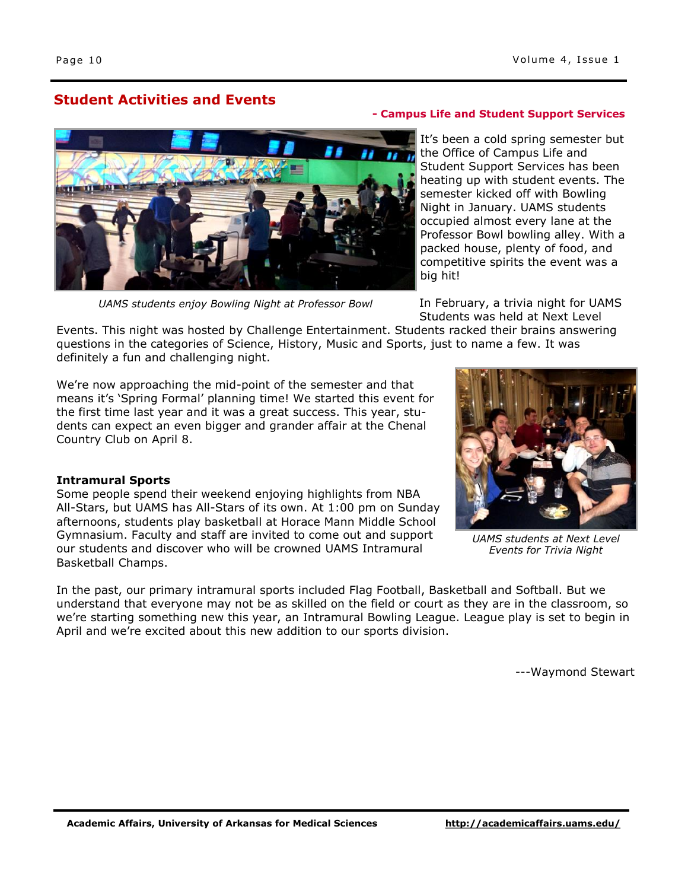# **Student Activities and Events**



*UAMS students enjoy Bowling Night at Professor Bowl*

#### **- Campus Life and Student Support Services**

It's been a cold spring semester but the Office of Campus Life and Student Support Services has been heating up with student events. The semester kicked off with Bowling Night in January. UAMS students occupied almost every lane at the Professor Bowl bowling alley. With a packed house, plenty of food, and competitive spirits the event was a big hit!

In February, a trivia night for UAMS Students was held at Next Level

Events. This night was hosted by Challenge Entertainment. Students racked their brains answering questions in the categories of Science, History, Music and Sports, just to name a few. It was definitely a fun and challenging night.

We're now approaching the mid-point of the semester and that means it's 'Spring Formal' planning time! We started this event for the first time last year and it was a great success. This year, students can expect an even bigger and grander affair at the Chenal Country Club on April 8.

#### **Intramural Sports**

Some people spend their weekend enjoying highlights from NBA All-Stars, but UAMS has All-Stars of its own. At 1:00 pm on Sunday afternoons, students play basketball at Horace Mann Middle School Gymnasium. Faculty and staff are invited to come out and support our students and discover who will be crowned UAMS Intramural Basketball Champs.



*UAMS students at Next Level Events for Trivia Night*

In the past, our primary intramural sports included Flag Football, Basketball and Softball. But we understand that everyone may not be as skilled on the field or court as they are in the classroom, so we're starting something new this year, an Intramural Bowling League. League play is set to begin in April and we're excited about this new addition to our sports division.

---Waymond Stewart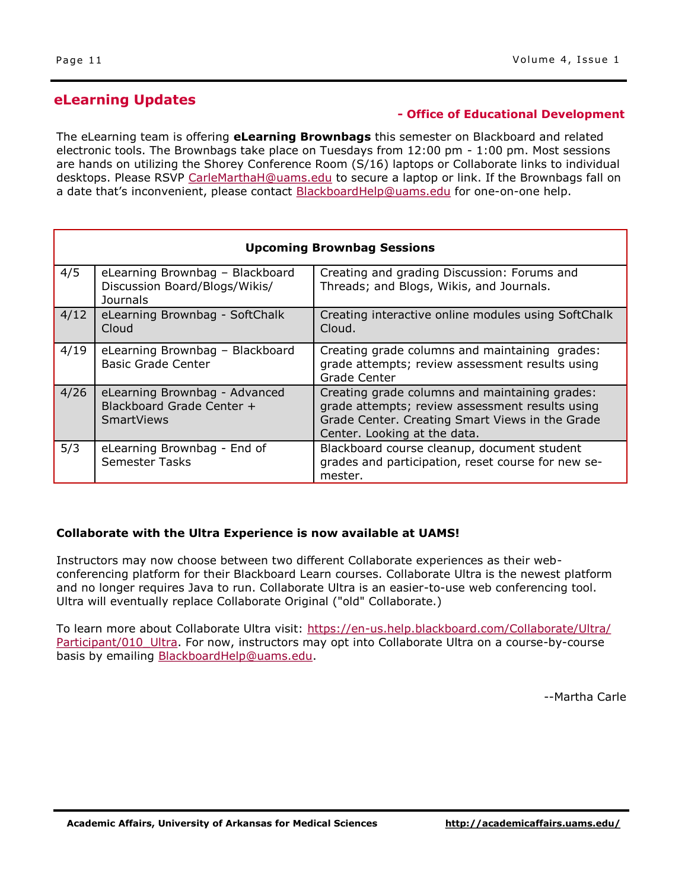# **eLearning Updates**

### **- Office of Educational Development**

The eLearning team is offering **eLearning Brownbags** this semester on Blackboard and related electronic tools. The Brownbags take place on Tuesdays from 12:00 pm - 1:00 pm. Most sessions are hands on utilizing the Shorey Conference Room (S/16) laptops or Collaborate links to individual desktops. Please RSVP [CarleMarthaH@uams.edu](mailto:CarleMarthaH@uams.edu) to secure a laptop or link. If the Brownbags fall on a date that's inconvenient, please contact **[BlackboardHelp@uams.edu](mailto:BlackboardHelp@uams.edu)** for one-on-one help.

| <b>Upcoming Brownbag Sessions</b> |                                                                                 |                                                                                                                                                                                      |
|-----------------------------------|---------------------------------------------------------------------------------|--------------------------------------------------------------------------------------------------------------------------------------------------------------------------------------|
| 4/5                               | eLearning Brownbag - Blackboard<br>Discussion Board/Blogs/Wikis/<br>Journals    | Creating and grading Discussion: Forums and<br>Threads; and Blogs, Wikis, and Journals.                                                                                              |
| 4/12                              | eLearning Brownbag - SoftChalk<br>Cloud                                         | Creating interactive online modules using SoftChalk<br>Cloud.                                                                                                                        |
| 4/19                              | eLearning Brownbag - Blackboard<br><b>Basic Grade Center</b>                    | Creating grade columns and maintaining grades:<br>grade attempts; review assessment results using<br>Grade Center                                                                    |
| 4/26                              | eLearning Brownbag - Advanced<br>Blackboard Grade Center +<br><b>SmartViews</b> | Creating grade columns and maintaining grades:<br>grade attempts; review assessment results using<br>Grade Center. Creating Smart Views in the Grade<br>Center. Looking at the data. |
| 5/3                               | eLearning Brownbag - End of<br><b>Semester Tasks</b>                            | Blackboard course cleanup, document student<br>grades and participation, reset course for new se-<br>mester.                                                                         |

## **Collaborate with the Ultra Experience is now available at UAMS!**

Instructors may now choose between two different Collaborate experiences as their webconferencing platform for their Blackboard Learn courses. Collaborate Ultra is the newest platform and no longer requires Java to run. Collaborate Ultra is an easier-to-use web conferencing tool. Ultra will eventually replace Collaborate Original ("old" Collaborate.)

To learn more about Collaborate Ultra visit: [https://en-us.help.blackboard.com/Collaborate/Ultra/](https://en-us.help.blackboard.com/Collaborate/Ultra/Participant/010_Ultra) Participant/010 Ultra. For now, instructors may opt into Collaborate Ultra on a course-by-course basis by emailing **BlackboardHelp@uams.edu.** 

--Martha Carle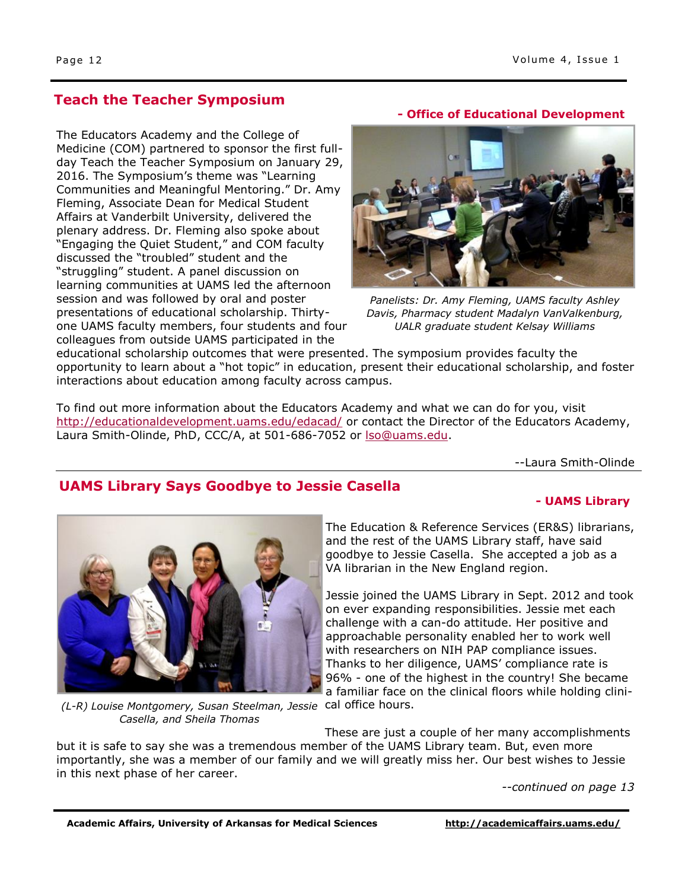# **Teach the Teacher Symposium**

The Educators Academy and the College of Medicine (COM) partnered to sponsor the first fullday Teach the Teacher Symposium on January 29, 2016. The Symposium's theme was "Learning Communities and Meaningful Mentoring." Dr. Amy Fleming, Associate Dean for Medical Student Affairs at Vanderbilt University, delivered the plenary address. Dr. Fleming also spoke about "Engaging the Quiet Student," and COM faculty discussed the "troubled" student and the "struggling" student. A panel discussion on learning communities at UAMS led the afternoon session and was followed by oral and poster presentations of educational scholarship. Thirtyone UAMS faculty members, four students and four colleagues from outside UAMS participated in the

#### **- Office of Educational Development**



*Panelists: Dr. Amy Fleming, UAMS faculty Ashley Davis, Pharmacy student Madalyn VanValkenburg, UALR graduate student Kelsay Williams*

educational scholarship outcomes that were presented. The symposium provides faculty the opportunity to learn about a "hot topic" in education, present their educational scholarship, and foster interactions about education among faculty across campus.

To find out more information about the Educators Academy and what we can do for you, visit <http://educationaldevelopment.uams.edu/edacad/> or contact the Director of the Educators Academy, Laura Smith-Olinde, PhD, CCC/A, at 501-686-7052 or [lso@uams.edu.](mailto:lso@uams.edu)

--Laura Smith-Olinde

# **UAMS Library Says Goodbye to Jessie Casella**

#### **- UAMS Library**



The Education & Reference Services (ER&S) librarians, and the rest of the UAMS Library staff, have said goodbye to Jessie Casella. She accepted a job as a VA librarian in the New England region.

Jessie joined the UAMS Library in Sept. 2012 and took on ever expanding responsibilities. Jessie met each challenge with a can-do attitude. Her positive and approachable personality enabled her to work well with researchers on NIH PAP compliance issues. Thanks to her diligence, UAMS' compliance rate is 96% - one of the highest in the country! She became a familiar face on the clinical floors while holding clini-

(L-R) Louise Montgomery, Susan Steelman, Jessie cal office hours. *Casella, and Sheila Thomas*

These are just a couple of her many accomplishments but it is safe to say she was a tremendous member of the UAMS Library team. But, even more importantly, she was a member of our family and we will greatly miss her. Our best wishes to Jessie in this next phase of her career.

*--continued on page 13*